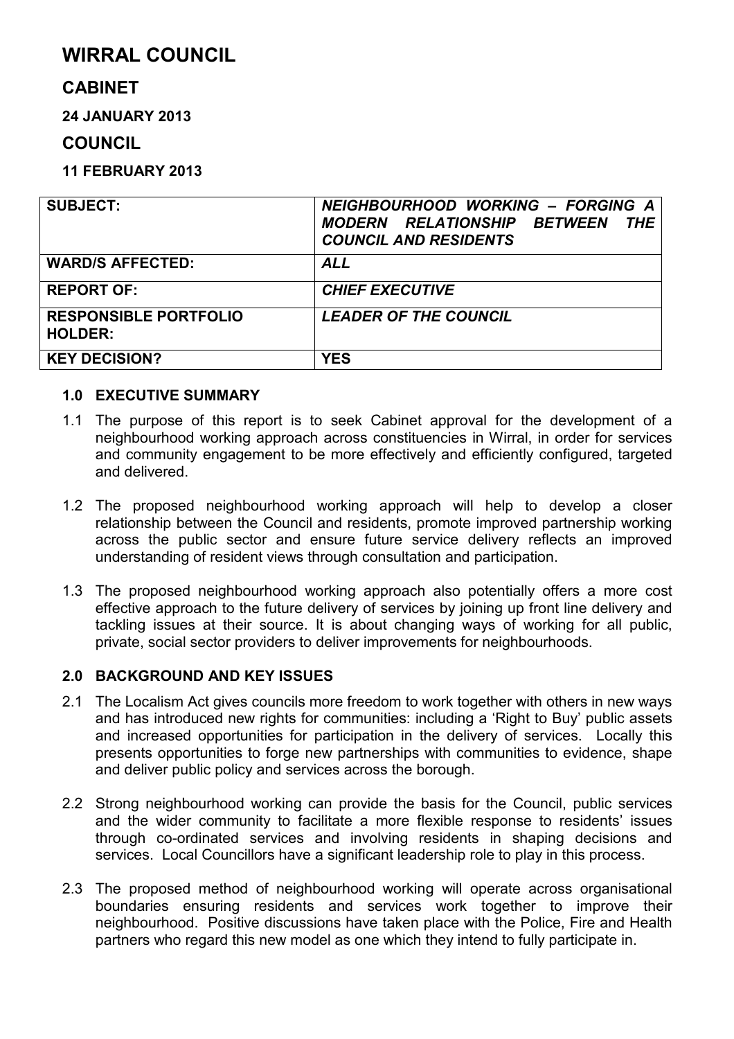# **WIRRAL COUNCIL**

# **CABINET**

**24 JANUARY 2013** 

# **COUNCIL**

**11 FEBRUARY 2013** 

| <b>SUBJECT:</b>                                | NEIGHBOURHOOD WORKING - FORGING A<br><b>MODERN RELATIONSHIP BETWEEN</b><br><b>THE</b><br><b>COUNCIL AND RESIDENTS</b> |
|------------------------------------------------|-----------------------------------------------------------------------------------------------------------------------|
| <b>WARD/S AFFECTED:</b>                        | <b>ALL</b>                                                                                                            |
| <b>REPORT OF:</b>                              | <b>CHIEF EXECUTIVE</b>                                                                                                |
| <b>RESPONSIBLE PORTFOLIO</b><br><b>HOLDER:</b> | <b>LEADER OF THE COUNCIL</b>                                                                                          |
| <b>KEY DECISION?</b>                           | <b>YES</b>                                                                                                            |

### **1.0 EXECUTIVE SUMMARY**

- 1.1 The purpose of this report is to seek Cabinet approval for the development of a neighbourhood working approach across constituencies in Wirral, in order for services and community engagement to be more effectively and efficiently configured, targeted and delivered.
- 1.2 The proposed neighbourhood working approach will help to develop a closer relationship between the Council and residents, promote improved partnership working across the public sector and ensure future service delivery reflects an improved understanding of resident views through consultation and participation.
- 1.3 The proposed neighbourhood working approach also potentially offers a more cost effective approach to the future delivery of services by joining up front line delivery and tackling issues at their source. It is about changing ways of working for all public, private, social sector providers to deliver improvements for neighbourhoods.

# **2.0 BACKGROUND AND KEY ISSUES**

- 2.1 The Localism Act gives councils more freedom to work together with others in new ways and has introduced new rights for communities: including a 'Right to Buy' public assets and increased opportunities for participation in the delivery of services. Locally this presents opportunities to forge new partnerships with communities to evidence, shape and deliver public policy and services across the borough.
- 2.2 Strong neighbourhood working can provide the basis for the Council, public services and the wider community to facilitate a more flexible response to residents' issues through co-ordinated services and involving residents in shaping decisions and services. Local Councillors have a significant leadership role to play in this process.
- 2.3 The proposed method of neighbourhood working will operate across organisational boundaries ensuring residents and services work together to improve their neighbourhood. Positive discussions have taken place with the Police, Fire and Health partners who regard this new model as one which they intend to fully participate in.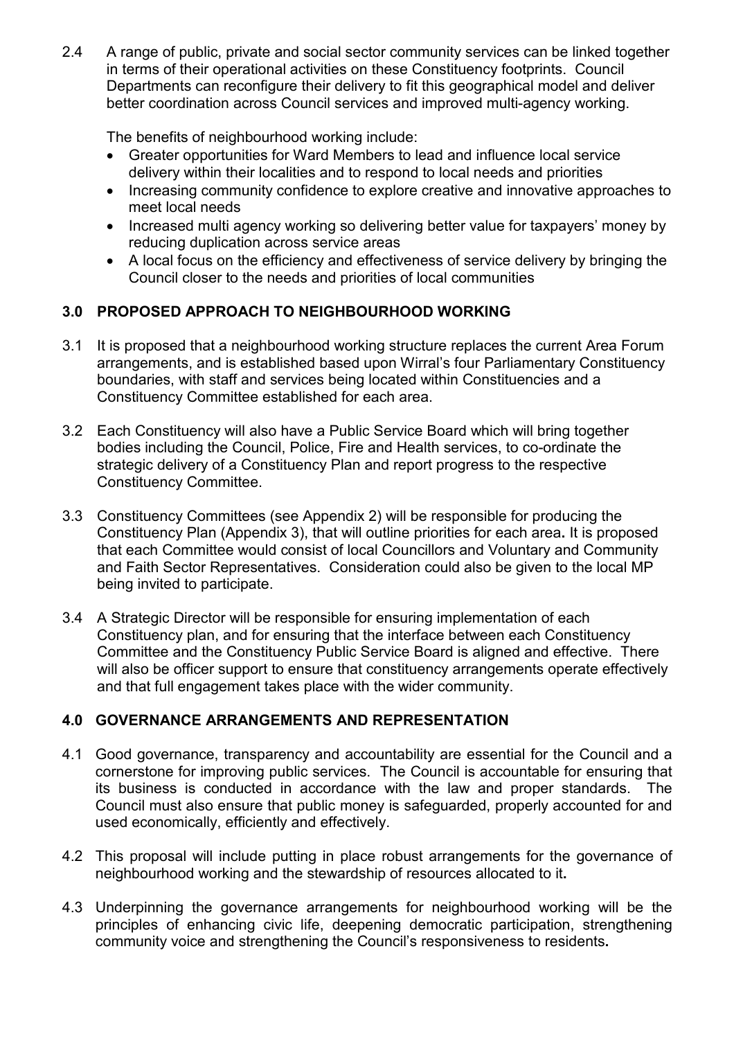2.4 A range of public, private and social sector community services can be linked together in terms of their operational activities on these Constituency footprints. Council Departments can reconfigure their delivery to fit this geographical model and deliver better coordination across Council services and improved multi-agency working.

The benefits of neighbourhood working include:

- Greater opportunities for Ward Members to lead and influence local service delivery within their localities and to respond to local needs and priorities
- Increasing community confidence to explore creative and innovative approaches to meet local needs
- Increased multi agency working so delivering better value for taxpayers' money by reducing duplication across service areas
- A local focus on the efficiency and effectiveness of service delivery by bringing the Council closer to the needs and priorities of local communities

# **3.0 PROPOSED APPROACH TO NEIGHBOURHOOD WORKING**

- 3.1 It is proposed that a neighbourhood working structure replaces the current Area Forum arrangements, and is established based upon Wirral's four Parliamentary Constituency boundaries, with staff and services being located within Constituencies and a Constituency Committee established for each area.
- 3.2 Each Constituency will also have a Public Service Board which will bring together bodies including the Council, Police, Fire and Health services, to co-ordinate the strategic delivery of a Constituency Plan and report progress to the respective Constituency Committee.
- 3.3 Constituency Committees (see Appendix 2) will be responsible for producing the Constituency Plan (Appendix 3), that will outline priorities for each area**.** It is proposed that each Committee would consist of local Councillors and Voluntary and Community and Faith Sector Representatives. Consideration could also be given to the local MP being invited to participate.
- 3.4 A Strategic Director will be responsible for ensuring implementation of each Constituency plan, and for ensuring that the interface between each Constituency Committee and the Constituency Public Service Board is aligned and effective. There will also be officer support to ensure that constituency arrangements operate effectively and that full engagement takes place with the wider community.

# **4.0 GOVERNANCE ARRANGEMENTS AND REPRESENTATION**

- 4.1 Good governance, transparency and accountability are essential for the Council and a cornerstone for improving public services. The Council is accountable for ensuring that its business is conducted in accordance with the law and proper standards. The Council must also ensure that public money is safeguarded, properly accounted for and used economically, efficiently and effectively.
- 4.2 This proposal will include putting in place robust arrangements for the governance of neighbourhood working and the stewardship of resources allocated to it**.**
- 4.3 Underpinning the governance arrangements for neighbourhood working will be the principles of enhancing civic life, deepening democratic participation, strengthening community voice and strengthening the Council's responsiveness to residents**.**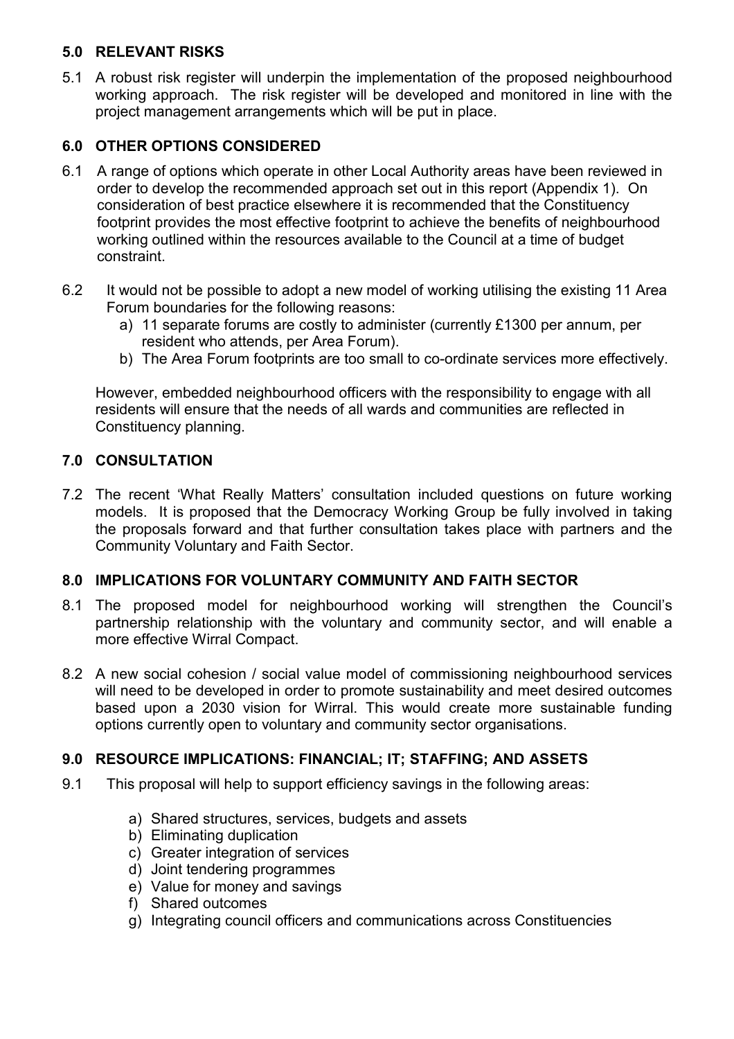# **5.0 RELEVANT RISKS**

5.1 A robust risk register will underpin the implementation of the proposed neighbourhood working approach. The risk register will be developed and monitored in line with the project management arrangements which will be put in place.

# **6.0 OTHER OPTIONS CONSIDERED**

- 6.1 A range of options which operate in other Local Authority areas have been reviewed in order to develop the recommended approach set out in this report (Appendix 1). On consideration of best practice elsewhere it is recommended that the Constituency footprint provides the most effective footprint to achieve the benefits of neighbourhood working outlined within the resources available to the Council at a time of budget constraint.
- 6.2 It would not be possible to adopt a new model of working utilising the existing 11 Area Forum boundaries for the following reasons:
	- a) 11 separate forums are costly to administer (currently £1300 per annum, per resident who attends, per Area Forum).
	- b) The Area Forum footprints are too small to co-ordinate services more effectively.

However, embedded neighbourhood officers with the responsibility to engage with all residents will ensure that the needs of all wards and communities are reflected in Constituency planning.

### **7.0 CONSULTATION**

7.2 The recent 'What Really Matters' consultation included questions on future working models. It is proposed that the Democracy Working Group be fully involved in taking the proposals forward and that further consultation takes place with partners and the Community Voluntary and Faith Sector.

### **8.0 IMPLICATIONS FOR VOLUNTARY COMMUNITY AND FAITH SECTOR**

- 8.1 The proposed model for neighbourhood working will strengthen the Council's partnership relationship with the voluntary and community sector, and will enable a more effective Wirral Compact.
- 8.2 A new social cohesion / social value model of commissioning neighbourhood services will need to be developed in order to promote sustainability and meet desired outcomes based upon a 2030 vision for Wirral. This would create more sustainable funding options currently open to voluntary and community sector organisations.

# **9.0 RESOURCE IMPLICATIONS: FINANCIAL; IT; STAFFING; AND ASSETS**

- 9.1 This proposal will help to support efficiency savings in the following areas:
	- a) Shared structures, services, budgets and assets
	- b) Eliminating duplication
	- c) Greater integration of services
	- d) Joint tendering programmes
	- e) Value for money and savings
	- f) Shared outcomes
	- g) Integrating council officers and communications across Constituencies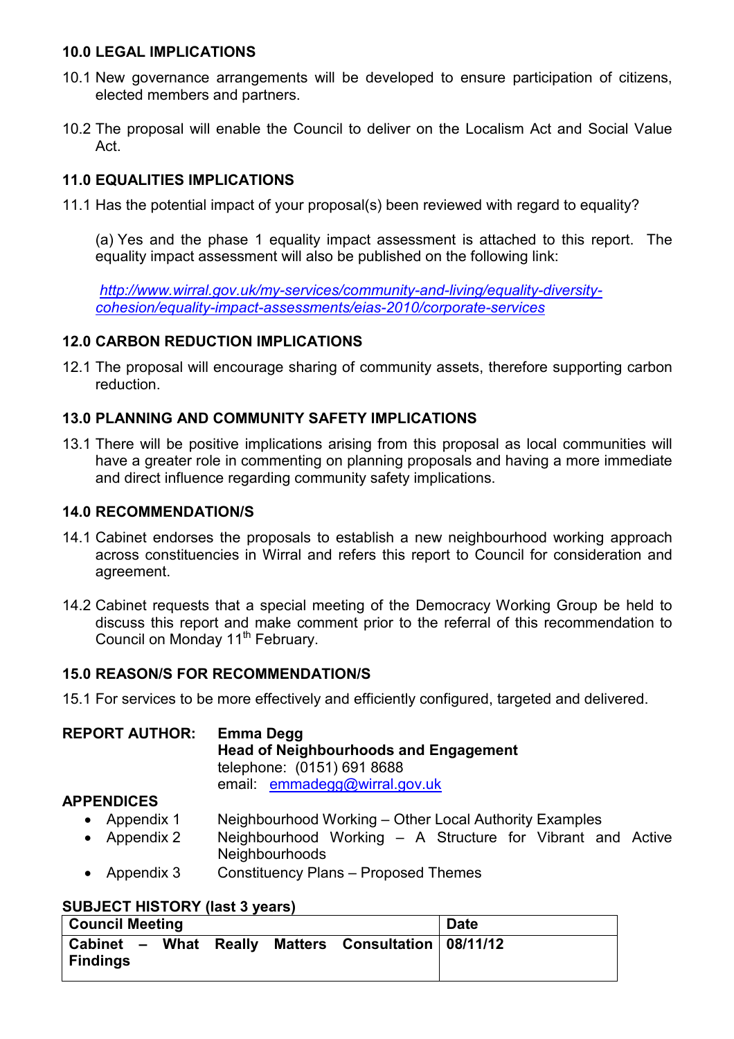### **10.0 LEGAL IMPLICATIONS**

- 10.1 New governance arrangements will be developed to ensure participation of citizens, elected members and partners.
- 10.2 The proposal will enable the Council to deliver on the Localism Act and Social Value Act.

# **11.0 EQUALITIES IMPLICATIONS**

11.1 Has the potential impact of your proposal(s) been reviewed with regard to equality?

 (a) Yes and the phase 1 equality impact assessment is attached to this report. The equality impact assessment will also be published on the following link:

*http://www.wirral.gov.uk/my-services/community-and-living/equality-diversitycohesion/equality-impact-assessments/eias-2010/corporate-services* 

# **12.0 CARBON REDUCTION IMPLICATIONS**

12.1 The proposal will encourage sharing of community assets, therefore supporting carbon reduction.

# **13.0 PLANNING AND COMMUNITY SAFETY IMPLICATIONS**

13.1 There will be positive implications arising from this proposal as local communities will have a greater role in commenting on planning proposals and having a more immediate and direct influence regarding community safety implications.

# **14.0 RECOMMENDATION/S**

- 14.1 Cabinet endorses the proposals to establish a new neighbourhood working approach across constituencies in Wirral and refers this report to Council for consideration and agreement.
- 14.2 Cabinet requests that a special meeting of the Democracy Working Group be held to discuss this report and make comment prior to the referral of this recommendation to Council on Monday 11<sup>th</sup> February.

# **15.0 REASON/S FOR RECOMMENDATION/S**

15.1 For services to be more effectively and efficiently configured, targeted and delivered.

| <b>REPORT AUTHOR:</b> | Emma Degg<br><b>Head of Neighbourhoods and Engagement</b><br>telephone: (0151) 691 8688<br>email: emmadegg@wirral.gov.uk |  |  |  |
|-----------------------|--------------------------------------------------------------------------------------------------------------------------|--|--|--|
| <b>APPENDICES</b>     |                                                                                                                          |  |  |  |

- Appendix 1 Neighbourhood Working Other Local Authority Examples
- Appendix 2 Neighbourhood Working A Structure for Vibrant and Active **Neighbourhoods**
- Appendix 3 Constituency Plans Proposed Themes

# **SUBJECT HISTORY (last 3 years)**

| <b>Council Meeting</b>                   |  |                                 | <b>Date</b> |
|------------------------------------------|--|---------------------------------|-------------|
| Cabinet - What Really<br><b>Findings</b> |  | Matters Consultation   08/11/12 |             |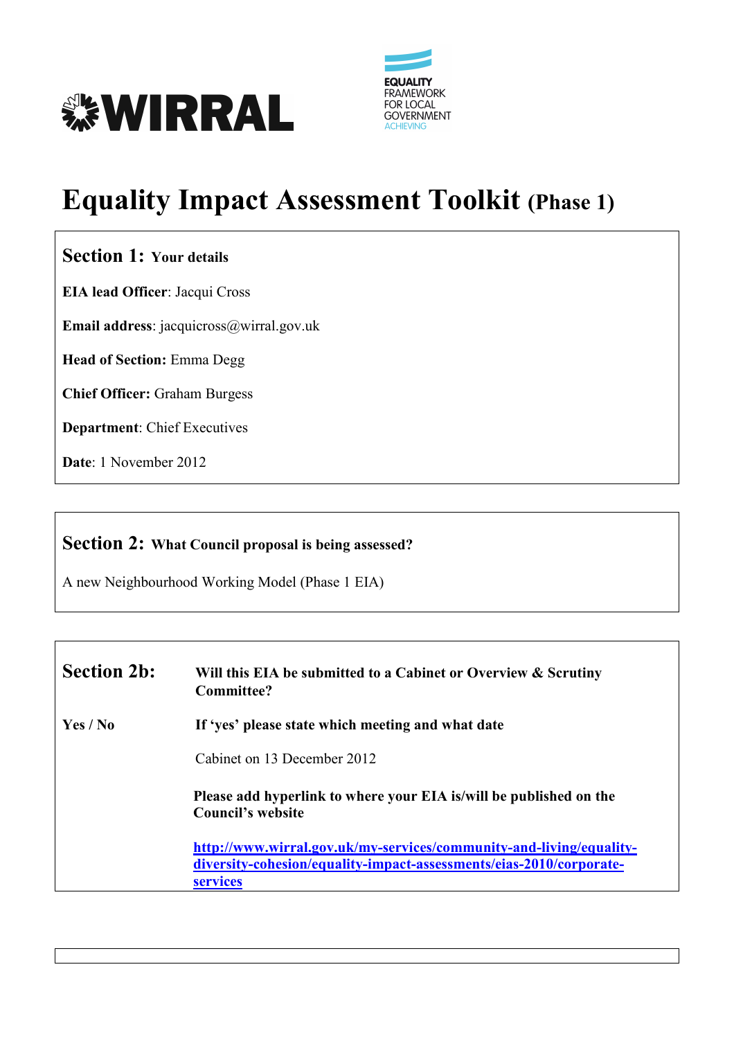



# **Equality Impact Assessment Toolkit (Phase 1)**

# **Section 1: Your details**

**EIA lead Officer**: Jacqui Cross

**Email address**: jacquicross@wirral.gov.uk

**Head of Section:** Emma Degg

**Chief Officer:** Graham Burgess

**Department**: Chief Executives

**Date**: 1 November 2012

# **Section 2: What Council proposal is being assessed?**

A new Neighbourhood Working Model (Phase 1 EIA)

| <b>Section 2b:</b> | Will this EIA be submitted to a Cabinet or Overview & Scrutiny<br>Committee?                                                                                  |  |
|--------------------|---------------------------------------------------------------------------------------------------------------------------------------------------------------|--|
| Yes / No           | If 'yes' please state which meeting and what date                                                                                                             |  |
|                    | Cabinet on 13 December 2012                                                                                                                                   |  |
|                    | Please add hyperlink to where your EIA is/will be published on the<br><b>Council's website</b>                                                                |  |
|                    | http://www.wirral.gov.uk/my-services/community-and-living/equality-<br>diversity-cohesion/equality-impact-assessments/eias-2010/corporate-<br><b>services</b> |  |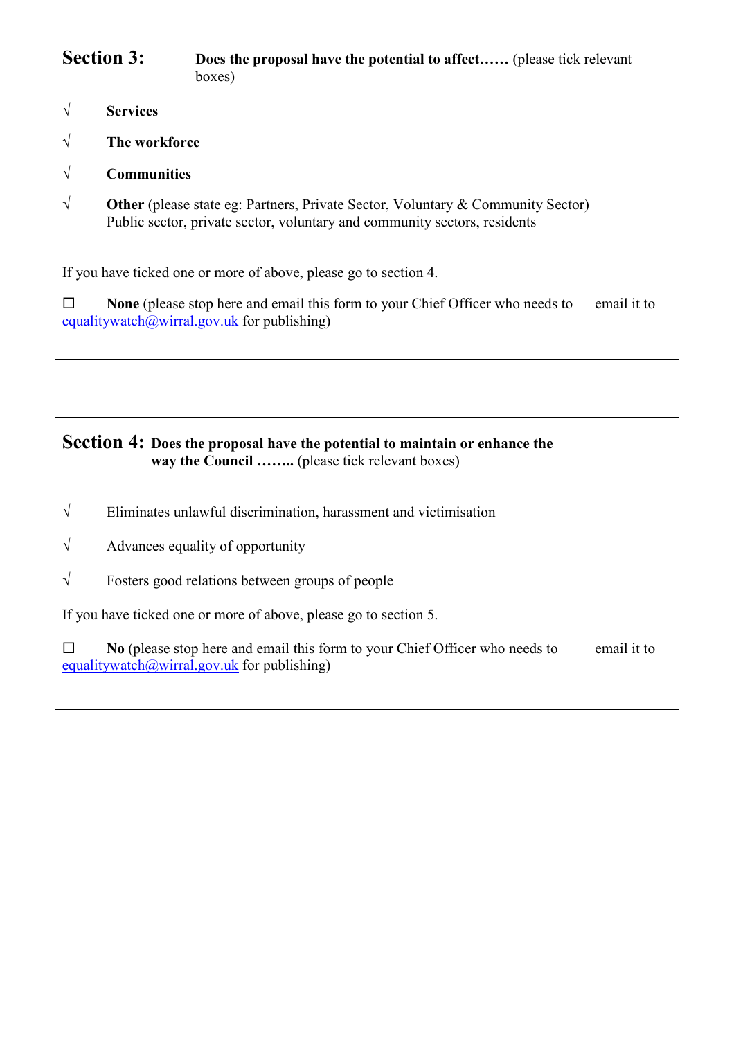|               | <b>Section 3:</b>  | <b>Does the proposal have the potential to affect</b> (please tick relevant<br>boxes)                                                                               |             |
|---------------|--------------------|---------------------------------------------------------------------------------------------------------------------------------------------------------------------|-------------|
| V             | <b>Services</b>    |                                                                                                                                                                     |             |
| $\mathcal N$  | The workforce      |                                                                                                                                                                     |             |
| $\mathcal{N}$ | <b>Communities</b> |                                                                                                                                                                     |             |
| V             |                    | <b>Other</b> (please state eg: Partners, Private Sector, Voluntary & Community Sector)<br>Public sector, private sector, voluntary and community sectors, residents |             |
|               |                    | If you have ticked one or more of above, please go to section 4.                                                                                                    |             |
| $\Box$        |                    | <b>None</b> (please stop here and email this form to your Chief Officer who needs to<br>equalitywatch@wirral.gov.uk for publishing)                                 | email it to |

# **Section 4: Does the proposal have the potential to maintain or enhance the way the Council ……..** (please tick relevant boxes)

- $\sqrt{\phantom{a}}$  Eliminates unlawful discrimination, harassment and victimisation
- $\sqrt{\phantom{a}}$  Advances equality of opportunity
- √ Fosters good relations between groups of people

If you have ticked one or more of above, please go to section 5.

□ **No** (please stop here and email this form to your Chief Officer who needs to email it to equalitywatch@wirral.gov.uk for publishing)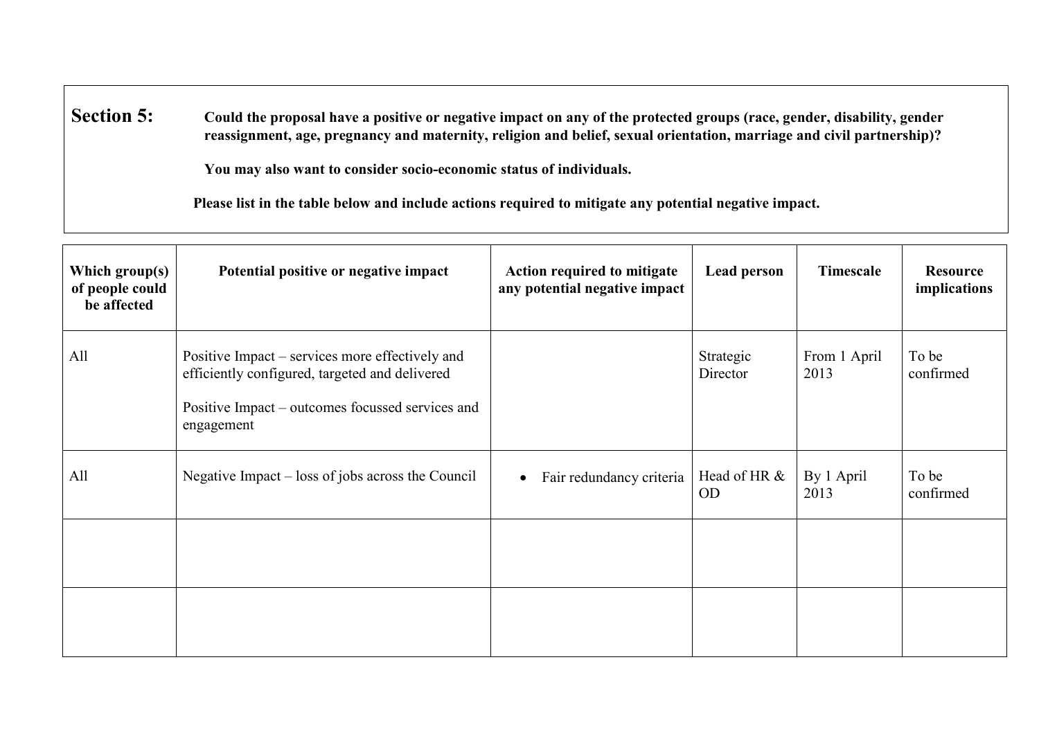**Section 5: 5: Could the proposal have a positive or negative impact on any of the protected groups (race, gender, disability, gender reassignment, age, pregnancy and maternity, religion and belief, sexual orientation, marriage and civil partnership)?** 

 **You may also want to consider socio-economic status of individuals.** 

 **Please list in the table below and include actions required to mitigate any potential negative impact.** 

| Which group(s)<br>of people could<br>be affected | Potential positive or negative impact                                                                                                                               | Action required to mitigate<br>any potential negative impact | <b>Lead person</b>        | Timescale            | <b>Resource</b><br>implications |
|--------------------------------------------------|---------------------------------------------------------------------------------------------------------------------------------------------------------------------|--------------------------------------------------------------|---------------------------|----------------------|---------------------------------|
| All                                              | Positive Impact – services more effectively and<br>efficiently configured, targeted and delivered<br>Positive Impact – outcomes focussed services and<br>engagement |                                                              | Strategic<br>Director     | From 1 April<br>2013 | To be<br>confirmed              |
| All                                              | Negative Impact – loss of jobs across the Council                                                                                                                   | Fair redundancy criteria<br>$\bullet$                        | Head of HR &<br><b>OD</b> | By 1 April<br>2013   | To be<br>confirmed              |
|                                                  |                                                                                                                                                                     |                                                              |                           |                      |                                 |
|                                                  |                                                                                                                                                                     |                                                              |                           |                      |                                 |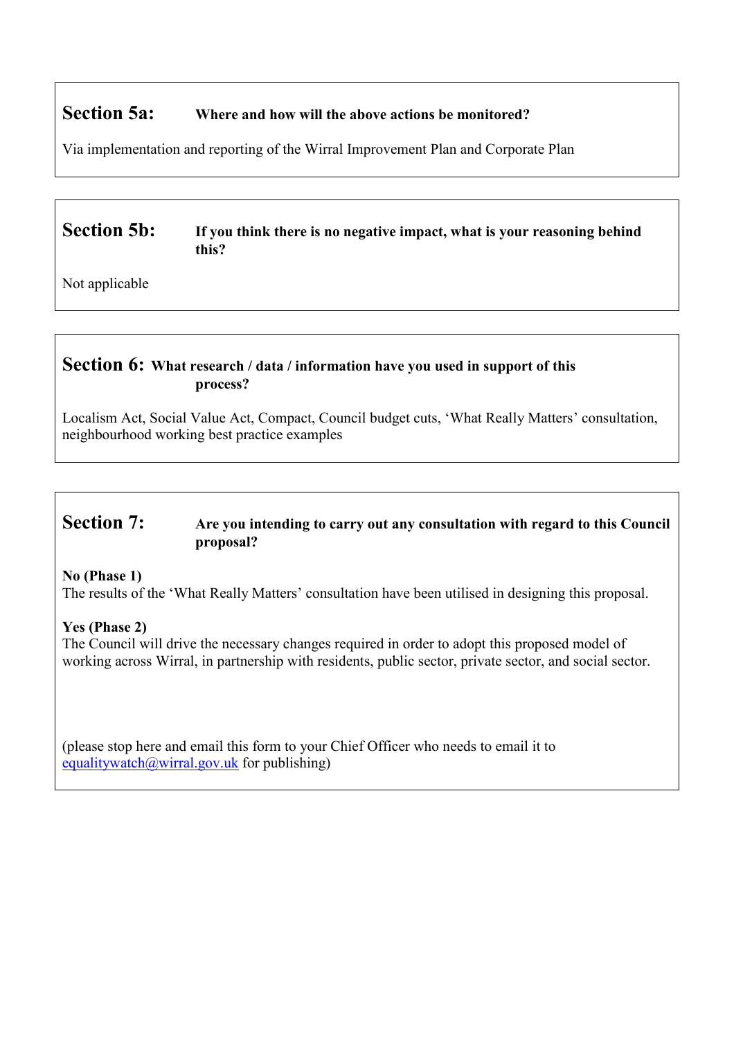# **Section 5a: Where and how will the above actions be monitored?**

Via implementation and reporting of the Wirral Improvement Plan and Corporate Plan

# **Section 5b:** If you think there is no negative impact, what is your reasoning behind **this?**

Not applicable

# **Section 6: What research / data / information have you used in support of this process?**

Localism Act, Social Value Act, Compact, Council budget cuts, 'What Really Matters' consultation, neighbourhood working best practice examples

# **Section 7:** Are you intending to carry out any consultation with regard to this Council **proposal?**

**No (Phase 1)** 

The results of the 'What Really Matters' consultation have been utilised in designing this proposal.

### **Yes (Phase 2)**

The Council will drive the necessary changes required in order to adopt this proposed model of working across Wirral, in partnership with residents, public sector, private sector, and social sector.

(please stop here and email this form to your Chief Officer who needs to email it to equalitywatch@wirral.gov.uk for publishing)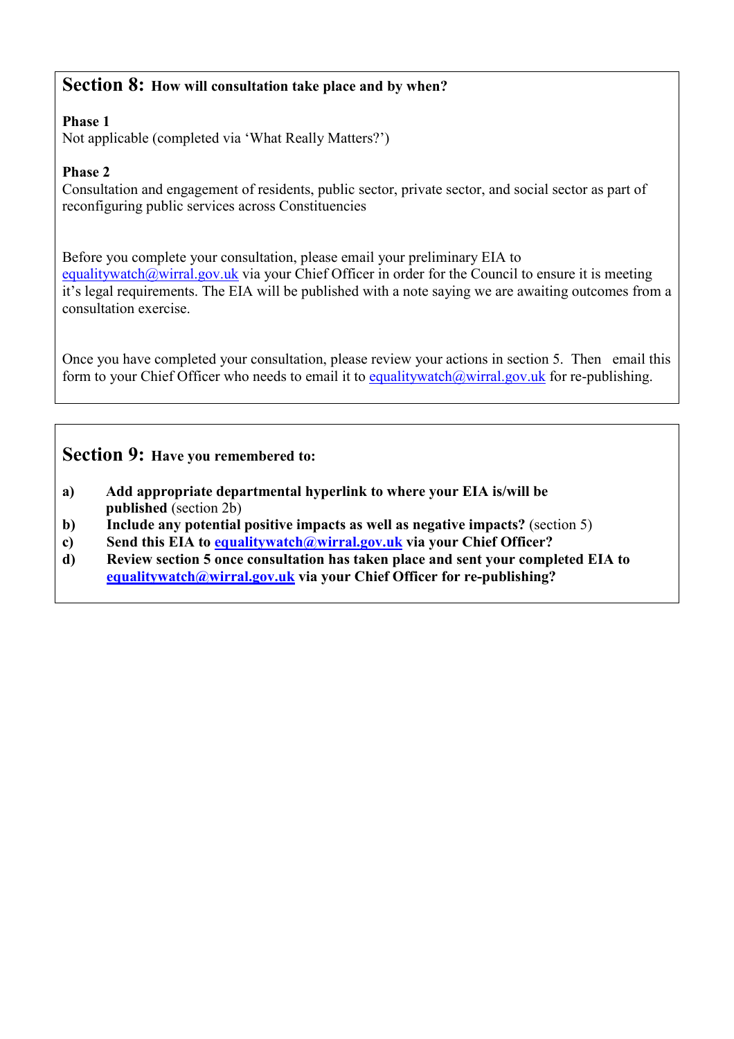# **Section 8: How will consultation take place and by when?**

### **Phase 1**

Not applicable (completed via 'What Really Matters?')

### **Phase 2**

Consultation and engagement of residents, public sector, private sector, and social sector as part of reconfiguring public services across Constituencies

Before you complete your consultation, please email your preliminary EIA to equalitywatch@wirral.gov.uk via your Chief Officer in order for the Council to ensure it is meeting it's legal requirements. The EIA will be published with a note saying we are awaiting outcomes from a consultation exercise.

Once you have completed your consultation, please review your actions in section 5. Then email this form to your Chief Officer who needs to email it to equalitywatch@wirral.gov.uk for re-publishing.

# **Section 9: Have you remembered to:**

- **a) Add appropriate departmental hyperlink to where your EIA is/will be published** (section 2b)
- **b) Include any potential positive impacts as well as negative impacts?** (section 5)
- **c) Send this EIA to equalitywatch@wirral.gov.uk via your Chief Officer?**
- **d) Review section 5 once consultation has taken place and sent your completed EIA to equalitywatch@wirral.gov.uk via your Chief Officer for re-publishing?**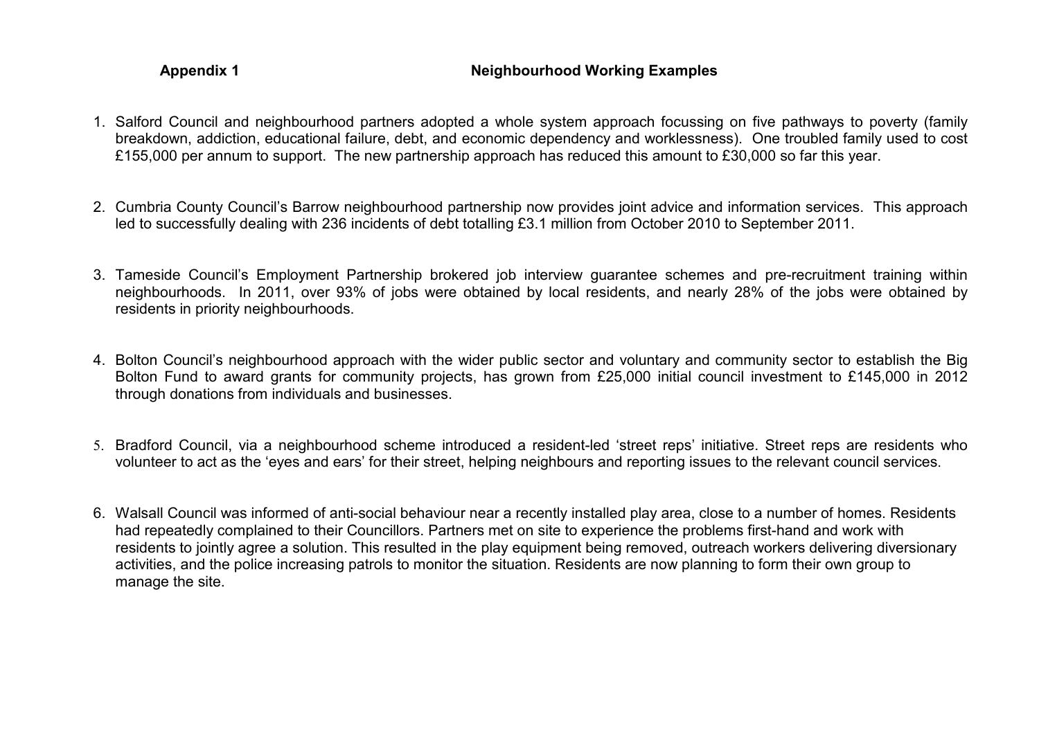### Appendix 1 **Appendix 1** Neighbourhood Working Examples

- 1. Salford Council and neighbourhood partners adopted a whole system approach focussing on five pathways to poverty (family breakdown, addiction, educational failure, debt, and economic dependency and worklessness). One troubled family used to cost £155,000 per annum to support. The new partnership approach has reduced this amount to £30,000 so far this year.
- 2. Cumbria County Council's Barrow neighbourhood partnership now provides joint advice and information services. This approach led to successfully dealing with 236 incidents of debt totalling £3.1 million from October 2010 to September 2011.
- 3. Tameside Council's Employment Partnership brokered job interview guarantee schemes and pre-recruitment training within neighbourhoods. In 2011, over 93% of jobs were obtained by local residents, and nearly 28% of the jobs were obtained by residents in priority neighbourhoods.
- 4. Bolton Council's neighbourhood approach with the wider public sector and voluntary and community sector to establish the Big Bolton Fund to award grants for community projects, has grown from £25,000 initial council investment to £145,000 in 2012 through donations from individuals and businesses.
- 5. Bradford Council, via a neighbourhood scheme introduced a resident-led 'street reps' initiative. Street reps are residents who volunteer to act as the 'eyes and ears' for their street, helping neighbours and reporting issues to the relevant council services.
- 6. Walsall Council was informed of anti-social behaviour near a recently installed play area, close to a number of homes. Residents had repeatedly complained to their Councillors. Partners met on site to experience the problems first-hand and work with residents to jointly agree a solution. This resulted in the play equipment being removed, outreach workers delivering diversionary activities, and the police increasing patrols to monitor the situation. Residents are now planning to form their own group to manage the site.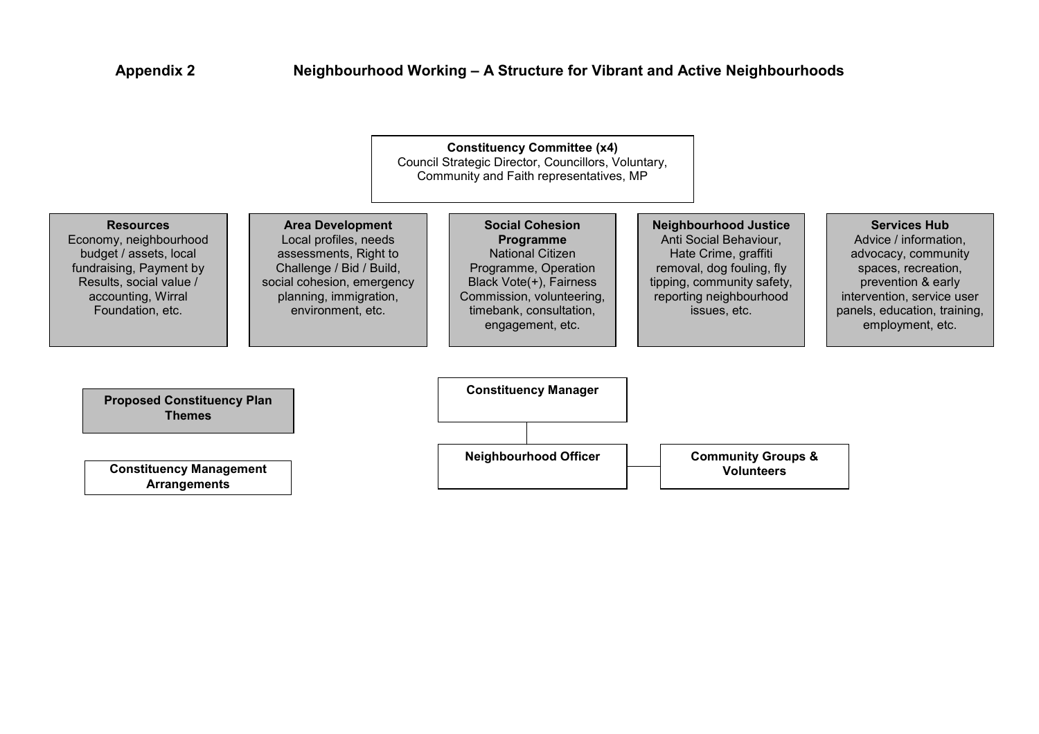